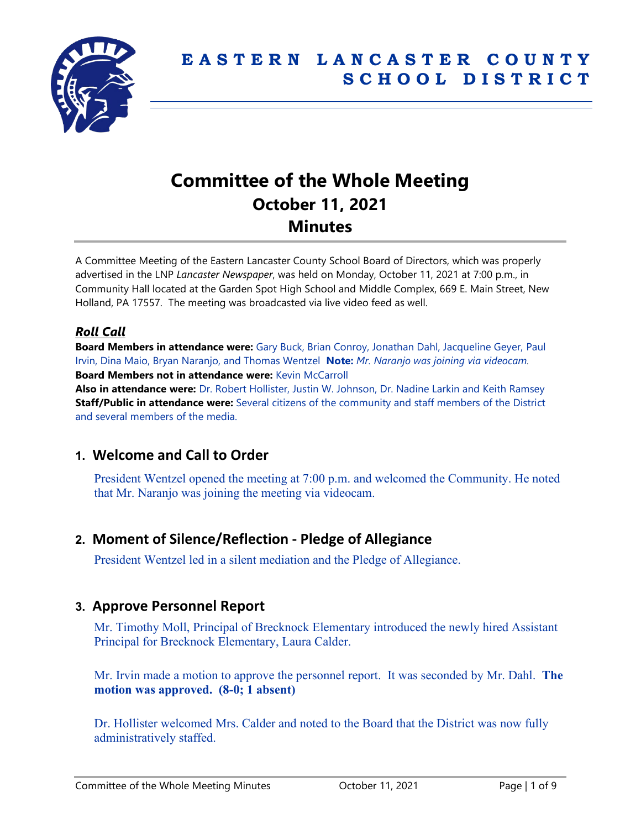

# **Committee of the Whole Meeting October 11, 2021 Minutes**

A Committee Meeting of the Eastern Lancaster County School Board of Directors, which was properly advertised in the LNP *Lancaster Newspaper*, was held on Monday, October 11, 2021 at 7:00 p.m., in Community Hall located at the Garden Spot High School and Middle Complex, 669 E. Main Street, New Holland, PA 17557. The meeting was broadcasted via live video feed as well.

# *Roll Call*

**Board Members in attendance were:** Gary Buck, Brian Conroy, Jonathan Dahl, Jacqueline Geyer, Paul Irvin, Dina Maio, Bryan Naranjo, and Thomas Wentzel **Note:** *Mr. Naranjo was joining via videocam.* **Board Members not in attendance were:** Kevin McCarroll

**Also in attendance were:** Dr. Robert Hollister, Justin W. Johnson, Dr. Nadine Larkin and Keith Ramsey **Staff/Public in attendance were:** Several citizens of the community and staff members of the District and several members of the media.

# **1. Welcome and Call to Order**

President Wentzel opened the meeting at 7:00 p.m. and welcomed the Community. He noted that Mr. Naranjo was joining the meeting via videocam.

# **2. Moment of Silence/Reflection - Pledge of Allegiance**

President Wentzel led in a silent mediation and the Pledge of Allegiance.

## **3. Approve Personnel Report**

Mr. Timothy Moll, Principal of Brecknock Elementary introduced the newly hired Assistant Principal for Brecknock Elementary, Laura Calder.

Mr. Irvin made a motion to approve the personnel report. It was seconded by Mr. Dahl. **The motion was approved. (8-0; 1 absent)**

Dr. Hollister welcomed Mrs. Calder and noted to the Board that the District was now fully administratively staffed.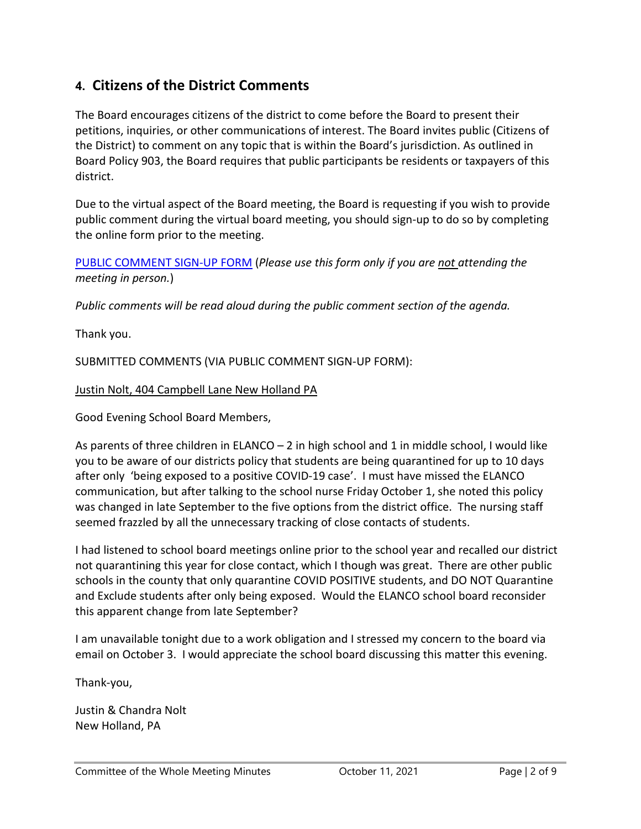# **4. Citizens of the District Comments**

The Board encourages citizens of the district to come before the Board to present their petitions, inquiries, or other communications of interest. The Board invites public (Citizens of the District) to comment on any topic that is within the Board's jurisdiction. As outlined in Board Policy 903, the Board requires that public participants be residents or taxpayers of this district.

Due to the virtual aspect of the Board meeting, the Board is requesting if you wish to provide public comment during the virtual board meeting, you should sign-up to do so by completing the online form prior to the meeting.

[PUBLIC COMMENT SIGN-UP FORM](https://forms.gle/zDXXoX8rZQUxt1Ap6) (*Please use this form only if you are not attending the meeting in person.*)

*Public comments will be read aloud during the public comment section of the agenda.*

Thank you.

SUBMITTED COMMENTS (VIA PUBLIC COMMENT SIGN-UP FORM):

Justin Nolt, 404 Campbell Lane New Holland PA

Good Evening School Board Members,

As parents of three children in ELANCO – 2 in high school and 1 in middle school, I would like you to be aware of our districts policy that students are being quarantined for up to 10 days after only 'being exposed to a positive COVID-19 case'. I must have missed the ELANCO communication, but after talking to the school nurse Friday October 1, she noted this policy was changed in late September to the five options from the district office. The nursing staff seemed frazzled by all the unnecessary tracking of close contacts of students.

I had listened to school board meetings online prior to the school year and recalled our district not quarantining this year for close contact, which I though was great. There are other public schools in the county that only quarantine COVID POSITIVE students, and DO NOT Quarantine and Exclude students after only being exposed. Would the ELANCO school board reconsider this apparent change from late September?

I am unavailable tonight due to a work obligation and I stressed my concern to the board via email on October 3. I would appreciate the school board discussing this matter this evening.

Thank-you,

Justin & Chandra Nolt New Holland, PA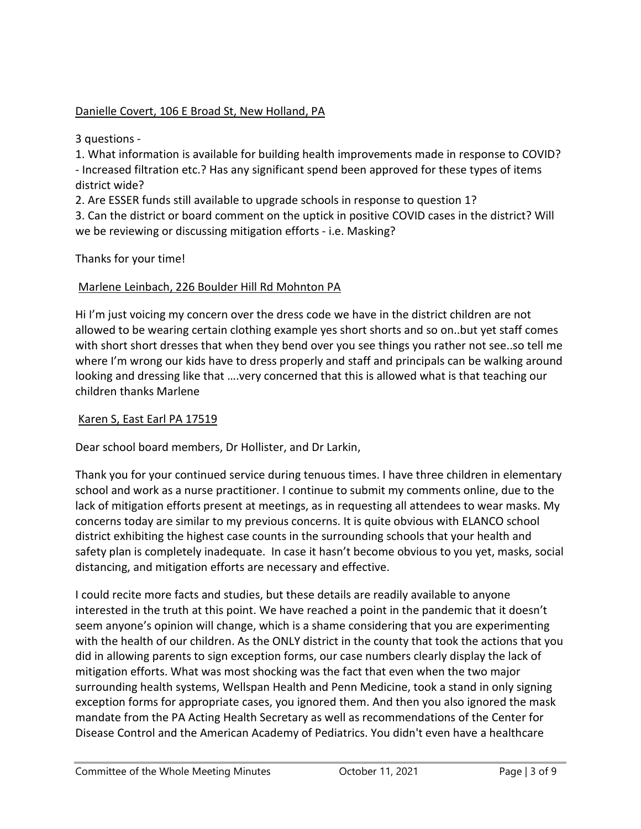## Danielle Covert, 106 E Broad St, New Holland, PA

3 questions -

1. What information is available for building health improvements made in response to COVID? - Increased filtration etc.? Has any significant spend been approved for these types of items district wide?

2. Are ESSER funds still available to upgrade schools in response to question 1?

3. Can the district or board comment on the uptick in positive COVID cases in the district? Will we be reviewing or discussing mitigation efforts - i.e. Masking?

Thanks for your time!

#### Marlene Leinbach, 226 Boulder Hill Rd Mohnton PA

Hi I'm just voicing my concern over the dress code we have in the district children are not allowed to be wearing certain clothing example yes short shorts and so on..but yet staff comes with short short dresses that when they bend over you see things you rather not see..so tell me where I'm wrong our kids have to dress properly and staff and principals can be walking around looking and dressing like that ….very concerned that this is allowed what is that teaching our children thanks Marlene

#### Karen S, East Earl PA 17519

Dear school board members, Dr Hollister, and Dr Larkin,

Thank you for your continued service during tenuous times. I have three children in elementary school and work as a nurse practitioner. I continue to submit my comments online, due to the lack of mitigation efforts present at meetings, as in requesting all attendees to wear masks. My concerns today are similar to my previous concerns. It is quite obvious with ELANCO school district exhibiting the highest case counts in the surrounding schools that your health and safety plan is completely inadequate. In case it hasn't become obvious to you yet, masks, social distancing, and mitigation efforts are necessary and effective.

I could recite more facts and studies, but these details are readily available to anyone interested in the truth at this point. We have reached a point in the pandemic that it doesn't seem anyone's opinion will change, which is a shame considering that you are experimenting with the health of our children. As the ONLY district in the county that took the actions that you did in allowing parents to sign exception forms, our case numbers clearly display the lack of mitigation efforts. What was most shocking was the fact that even when the two major surrounding health systems, Wellspan Health and Penn Medicine, took a stand in only signing exception forms for appropriate cases, you ignored them. And then you also ignored the mask mandate from the PA Acting Health Secretary as well as recommendations of the Center for Disease Control and the American Academy of Pediatrics. You didn't even have a healthcare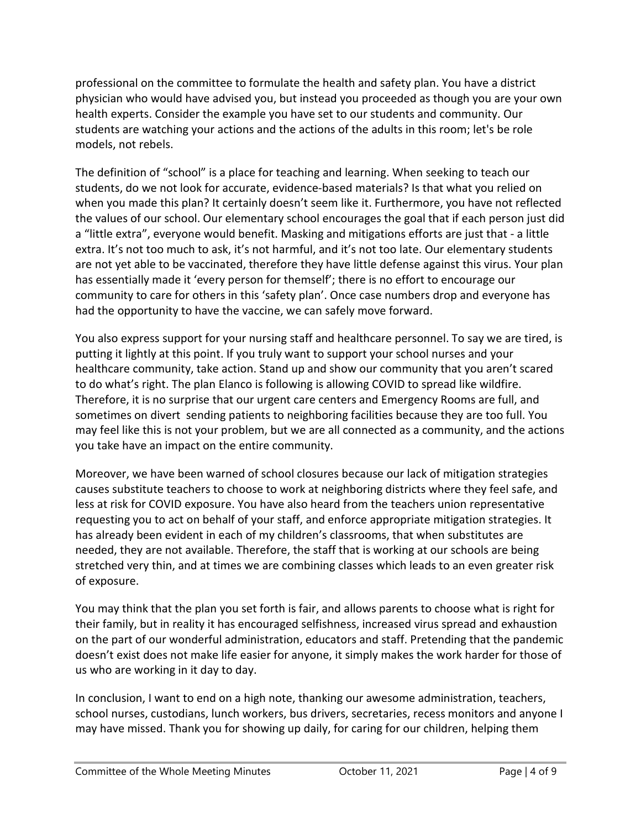professional on the committee to formulate the health and safety plan. You have a district physician who would have advised you, but instead you proceeded as though you are your own health experts. Consider the example you have set to our students and community. Our students are watching your actions and the actions of the adults in this room; let's be role models, not rebels.

The definition of "school" is a place for teaching and learning. When seeking to teach our students, do we not look for accurate, evidence-based materials? Is that what you relied on when you made this plan? It certainly doesn't seem like it. Furthermore, you have not reflected the values of our school. Our elementary school encourages the goal that if each person just did a "little extra", everyone would benefit. Masking and mitigations efforts are just that - a little extra. It's not too much to ask, it's not harmful, and it's not too late. Our elementary students are not yet able to be vaccinated, therefore they have little defense against this virus. Your plan has essentially made it 'every person for themself'; there is no effort to encourage our community to care for others in this 'safety plan'. Once case numbers drop and everyone has had the opportunity to have the vaccine, we can safely move forward.

You also express support for your nursing staff and healthcare personnel. To say we are tired, is putting it lightly at this point. If you truly want to support your school nurses and your healthcare community, take action. Stand up and show our community that you aren't scared to do what's right. The plan Elanco is following is allowing COVID to spread like wildfire. Therefore, it is no surprise that our urgent care centers and Emergency Rooms are full, and sometimes on divert sending patients to neighboring facilities because they are too full. You may feel like this is not your problem, but we are all connected as a community, and the actions you take have an impact on the entire community.

Moreover, we have been warned of school closures because our lack of mitigation strategies causes substitute teachers to choose to work at neighboring districts where they feel safe, and less at risk for COVID exposure. You have also heard from the teachers union representative requesting you to act on behalf of your staff, and enforce appropriate mitigation strategies. It has already been evident in each of my children's classrooms, that when substitutes are needed, they are not available. Therefore, the staff that is working at our schools are being stretched very thin, and at times we are combining classes which leads to an even greater risk of exposure.

You may think that the plan you set forth is fair, and allows parents to choose what is right for their family, but in reality it has encouraged selfishness, increased virus spread and exhaustion on the part of our wonderful administration, educators and staff. Pretending that the pandemic doesn't exist does not make life easier for anyone, it simply makes the work harder for those of us who are working in it day to day.

In conclusion, I want to end on a high note, thanking our awesome administration, teachers, school nurses, custodians, lunch workers, bus drivers, secretaries, recess monitors and anyone I may have missed. Thank you for showing up daily, for caring for our children, helping them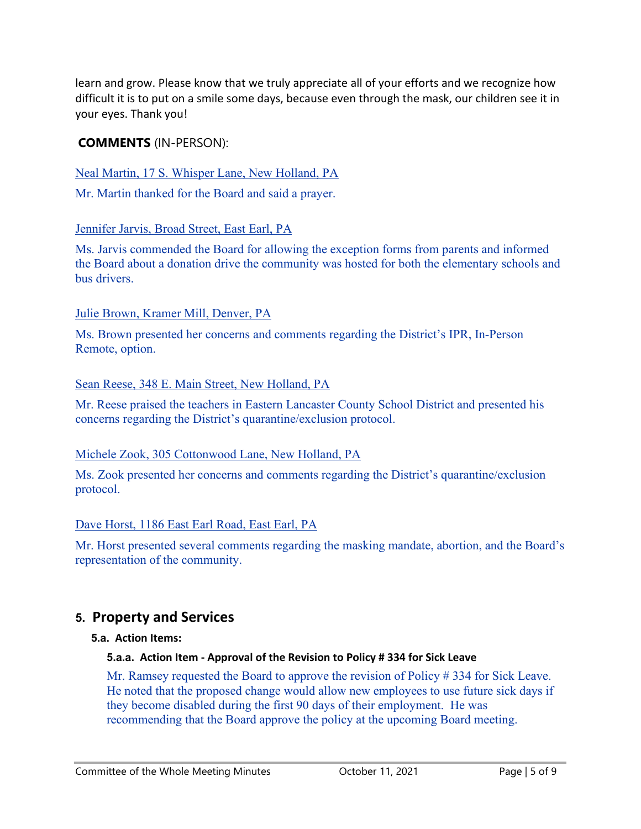learn and grow. Please know that we truly appreciate all of your efforts and we recognize how difficult it is to put on a smile some days, because even through the mask, our children see it in your eyes. Thank you!

## **COMMENTS** (IN-PERSON):

Neal Martin, 17 S. Whisper Lane, New Holland, PA

Mr. Martin thanked for the Board and said a prayer.

#### Jennifer Jarvis, Broad Street, East Earl, PA

Ms. Jarvis commended the Board for allowing the exception forms from parents and informed the Board about a donation drive the community was hosted for both the elementary schools and bus drivers.

#### Julie Brown, Kramer Mill, Denver, PA

Ms. Brown presented her concerns and comments regarding the District's IPR, In-Person Remote, option.

#### Sean Reese, 348 E. Main Street, New Holland, PA

Mr. Reese praised the teachers in Eastern Lancaster County School District and presented his concerns regarding the District's quarantine/exclusion protocol.

#### Michele Zook, 305 Cottonwood Lane, New Holland, PA

Ms. Zook presented her concerns and comments regarding the District's quarantine/exclusion protocol.

#### Dave Horst, 1186 East Earl Road, East Earl, PA

Mr. Horst presented several comments regarding the masking mandate, abortion, and the Board's representation of the community.

# **5. Property and Services**

#### **5.a. Action Items:**

#### **5.a.a. Action Item - Approval of the Revision to Policy # 334 for Sick Leave**

Mr. Ramsey requested the Board to approve the revision of Policy # 334 for Sick Leave. He noted that the proposed change would allow new employees to use future sick days if they become disabled during the first 90 days of their employment. He was recommending that the Board approve the policy at the upcoming Board meeting.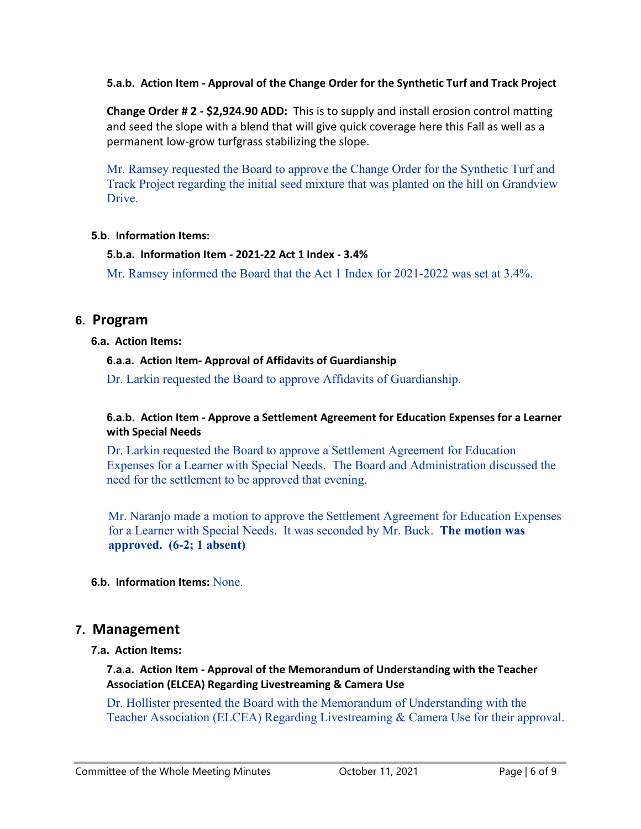**5.a.b. Action Item - Approval of the Change Order for the Synthetic Turf and Track Project**

**Change Order # 2 - \$2,924.90 ADD:** This is to supply and install erosion control matting and seed the slope with a blend that will give quick coverage here this Fall as well as a permanent low-grow turfgrass stabilizing the slope.

Mr. Ramsey requested the Board to approve the Change Order for the Synthetic Turf and Track Project regarding the initial seed mixture that was planted on the hill on Grandview Drive.

#### **5.b. Information Items:**

#### **5.b.a. Information Item - 2021-22 Act 1 Index - 3.4%**

Mr. Ramsey informed the Board that the Act 1 Index for 2021-2022 was set at 3.4%.

### **6. Program**

#### **6.a. Action Items:**

#### **6.a.a. Action Item- Approval of Affidavits of Guardianship**

Dr. Larkin requested the Board to approve Affidavits of Guardianship.

#### **6.a.b. Action Item - Approve a Settlement Agreement for Education Expenses for a Learner with Special Needs**

Dr. Larkin requested the Board to approve a Settlement Agreement for Education Expenses for a Learner with Special Needs. The Board and Administration discussed the need for the settlement to be approved that evening.

Mr. Naranjo made a motion to approve the Settlement Agreement for Education Expenses for a Learner with Special Needs. It was seconded by Mr. Buck. **The motion was approved. (6-2; 1 absent)**

**6.b. Information Items:** None.

## **7. Management**

#### **7.a. Action Items:**

#### **7.a.a. Action Item - Approval of the Memorandum of Understanding with the Teacher Association (ELCEA) Regarding Livestreaming & Camera Use**

Dr. Hollister presented the Board with the Memorandum of Understanding with the Teacher Association (ELCEA) Regarding Livestreaming & Camera Use for their approval.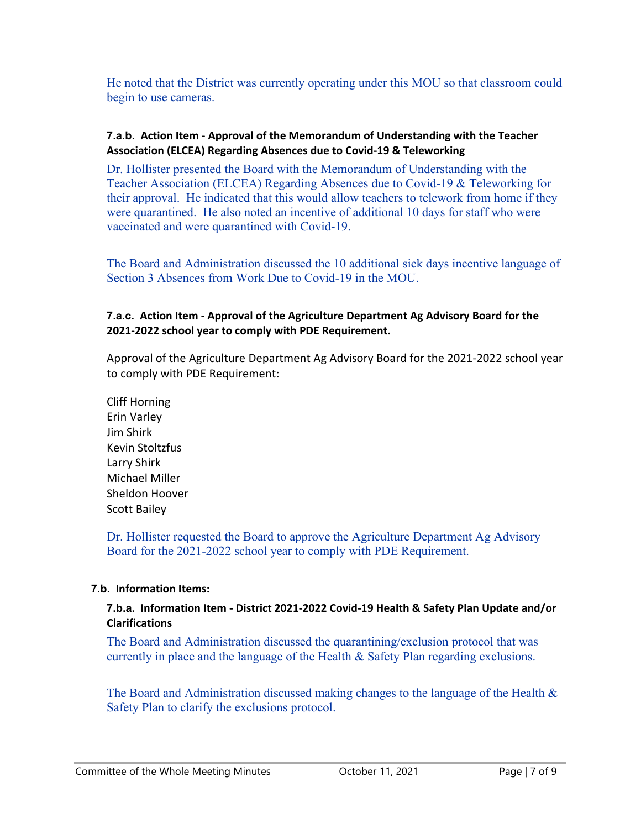He noted that the District was currently operating under this MOU so that classroom could begin to use cameras.

#### **7.a.b. Action Item - Approval of the Memorandum of Understanding with the Teacher Association (ELCEA) Regarding Absences due to Covid-19 & Teleworking**

Dr. Hollister presented the Board with the Memorandum of Understanding with the Teacher Association (ELCEA) Regarding Absences due to Covid-19 & Teleworking for their approval. He indicated that this would allow teachers to telework from home if they were quarantined. He also noted an incentive of additional 10 days for staff who were vaccinated and were quarantined with Covid-19.

The Board and Administration discussed the 10 additional sick days incentive language of Section 3 Absences from Work Due to Covid-19 in the MOU.

#### **7.a.c. Action Item - Approval of the Agriculture Department Ag Advisory Board for the 2021-2022 school year to comply with PDE Requirement.**

Approval of the Agriculture Department Ag Advisory Board for the 2021-2022 school year to comply with PDE Requirement:

Cliff Horning Erin Varley Jim Shirk Kevin Stoltzfus Larry Shirk Michael Miller Sheldon Hoover Scott Bailey

Dr. Hollister requested the Board to approve the Agriculture Department Ag Advisory Board for the 2021-2022 school year to comply with PDE Requirement.

#### **7.b. Information Items:**

#### **7.b.a. Information Item - District 2021-2022 Covid-19 Health & Safety Plan Update and/or Clarifications**

The Board and Administration discussed the quarantining/exclusion protocol that was currently in place and the language of the Health & Safety Plan regarding exclusions.

The Board and Administration discussed making changes to the language of the Health  $\&$ Safety Plan to clarify the exclusions protocol.